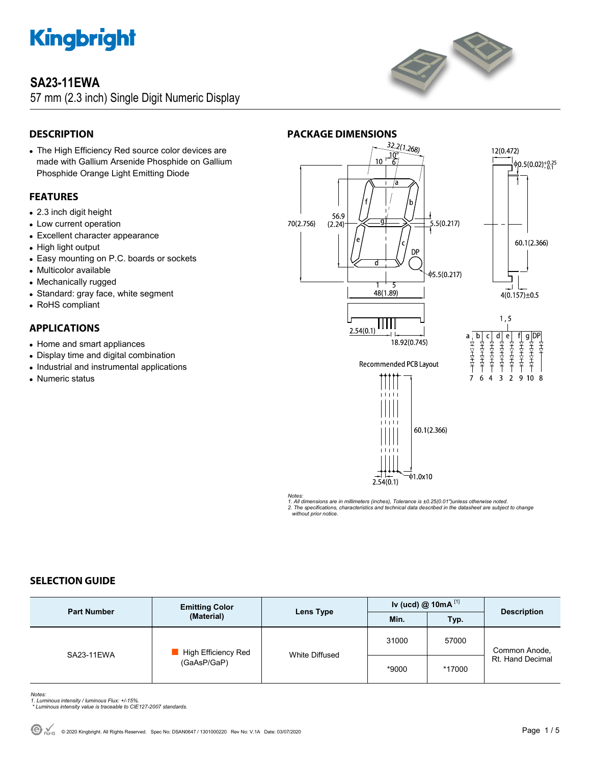### **SA23-11EWA**

57 mm (2.3 inch) Single Digit Numeric Display



### **DESCRIPTION**

 The High Efficiency Red source color devices are made with Gallium Arsenide Phosphide on Gallium Phosphide Orange Light Emitting Diode

#### **FEATURES**

- 2.3 inch digit height
- Low current operation
- Excellent character appearance
- High light output
- Easy mounting on P.C. boards or sockets
- Multicolor available
- Mechanically rugged
- Standard: gray face, white segment
- RoHS compliant

### **APPLICATIONS**

- Home and smart appliances
- Display time and digital combination
- Industrial and instrumental applications
- Numeric status



*Notes:* 

*1. All dimensions are in millimeters (inches), Tolerance is ±0.25(0.01")unless otherwise noted.* 

*2. The specifications, characteristics and technical data described in the datasheet are subject to change without prior notice.* 

#### **SELECTION GUIDE**

| <b>Part Number</b> | <b>Emitting Color</b><br>(Material) | Lens Type      | Iv (ucd) $@$ 10mA $^{[1]}$ |        | <b>Description</b>                |
|--------------------|-------------------------------------|----------------|----------------------------|--------|-----------------------------------|
|                    |                                     |                | Min.                       | Typ.   |                                   |
| SA23-11EWA         | High Efficiency Red<br>(GaAsP/GaP)  | White Diffused | 31000                      | 57000  | Common Anode,<br>Rt. Hand Decimal |
|                    |                                     |                | *9000                      | *17000 |                                   |

*Notes: 1. Luminous intensity / luminous Flux: +/-15%.* 

 *\* Luminous intensity value is traceable to CIE127-2007 standards.*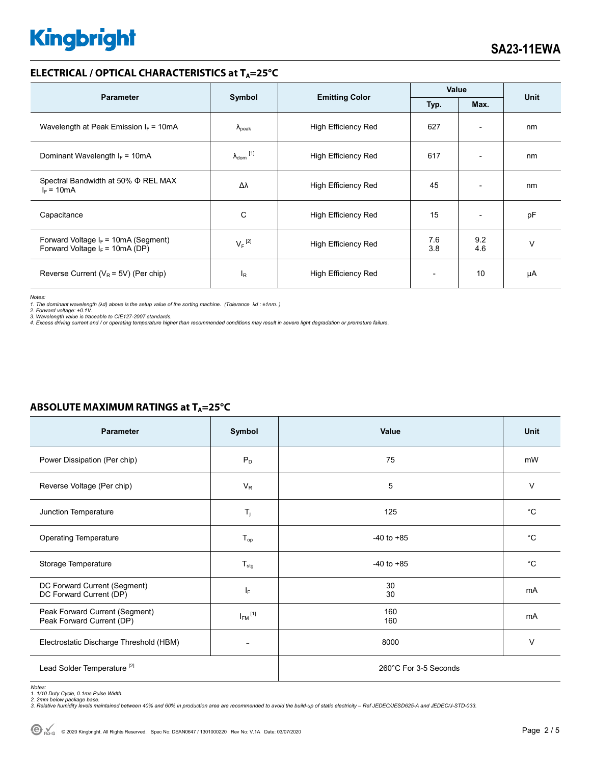#### **ELECTRICAL / OPTICAL CHARACTERISTICS at T<sub>A</sub>=25°C**

| <b>Parameter</b>                                                            | Symbol                       |                            | Value      |                          |             |
|-----------------------------------------------------------------------------|------------------------------|----------------------------|------------|--------------------------|-------------|
|                                                                             |                              | <b>Emitting Color</b>      | Typ.       | Max.                     | <b>Unit</b> |
| Wavelength at Peak Emission $I_F = 10mA$                                    | $\Lambda_{\rm peak}$         | <b>High Efficiency Red</b> | 627        | $\overline{\phantom{a}}$ | nm          |
| Dominant Wavelength $I_F = 10mA$                                            | $\lambda_{\mathsf{dom}}$ [1] | <b>High Efficiency Red</b> | 617        |                          | nm          |
| Spectral Bandwidth at 50% Φ REL MAX<br>$I_F = 10mA$                         | Δλ                           | <b>High Efficiency Red</b> | 45         | ٠                        | nm          |
| Capacitance                                                                 | C                            | <b>High Efficiency Red</b> | 15         | $\overline{\phantom{0}}$ | pF          |
| Forward Voltage $I_F$ = 10mA (Segment)<br>Forward Voltage $I_F$ = 10mA (DP) | $V_F$ <sup>[2]</sup>         | <b>High Efficiency Red</b> | 7.6<br>3.8 | 9.2<br>4.6               | $\vee$      |
| Reverse Current ( $V_R$ = 5V) (Per chip)                                    | $I_R$                        | <b>High Efficiency Red</b> |            | 10                       | μA          |

*Notes:* 

1. The dominant wavelength (λd) above is the setup value of the sorting machine. (Tolerance λd : ±1nm. )<br>2. Forward voltage: ±0.1V.<br>3. Wavelength value is traceable to CIE127-2007 standards.

*4. Excess driving current and / or operating temperature higher than recommended conditions may result in severe light degradation or premature failure.* 

| <b>Parameter</b>                                            | Symbol           | Value                 | <b>Unit</b> |  |
|-------------------------------------------------------------|------------------|-----------------------|-------------|--|
| Power Dissipation (Per chip)                                | $P_D$            | 75                    | mW          |  |
| Reverse Voltage (Per chip)                                  | $V_R$            | 5                     | V           |  |
| Junction Temperature                                        | $T_j$            | 125                   | $^{\circ}C$ |  |
| <b>Operating Temperature</b>                                | $T_{op}$         | $-40$ to $+85$        | $^{\circ}C$ |  |
| Storage Temperature                                         | $T_{\text{stg}}$ | $-40$ to $+85$        | $^{\circ}C$ |  |
| DC Forward Current (Segment)<br>DC Forward Current (DP)     | IF.              | 30<br>30              | mA          |  |
| Peak Forward Current (Segment)<br>Peak Forward Current (DP) | $I_{FM}$ [1]     | 160<br>160            | mA          |  |
| Electrostatic Discharge Threshold (HBM)                     |                  | 8000                  | V           |  |
| Lead Solder Temperature <sup>[2]</sup>                      |                  | 260°C For 3-5 Seconds |             |  |

#### **ABSOLUTE MAXIMUM RATINGS at T<sub>A</sub>=25°C**

*Notes: 1. 1/10 Duty Cycle, 0.1ms Pulse Width.* 

*2. 2mm below package base. 3. Relative humidity levels maintained between 40% and 60% in production area are recommended to avoid the build-up of static electricity – Ref JEDEC/JESD625-A and JEDEC/J-STD-033.*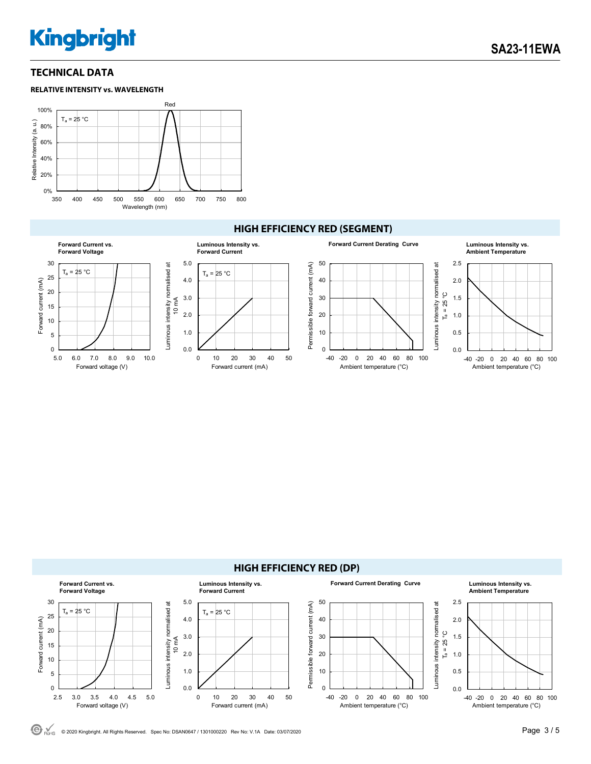**SA23-11EWA** 

#### **TECHNICAL DATA**





#### **HIGH EFFICIENCY RED (SEGMENT)**





© <sub>ROHS</sub> © 2020 Kingbright. All Rights Reserved. Spec No: DSAN0647 / 1301000220 Rev No: V.1A Date: 03/07/2020 **Page 3 / 5 Page 3 / 5**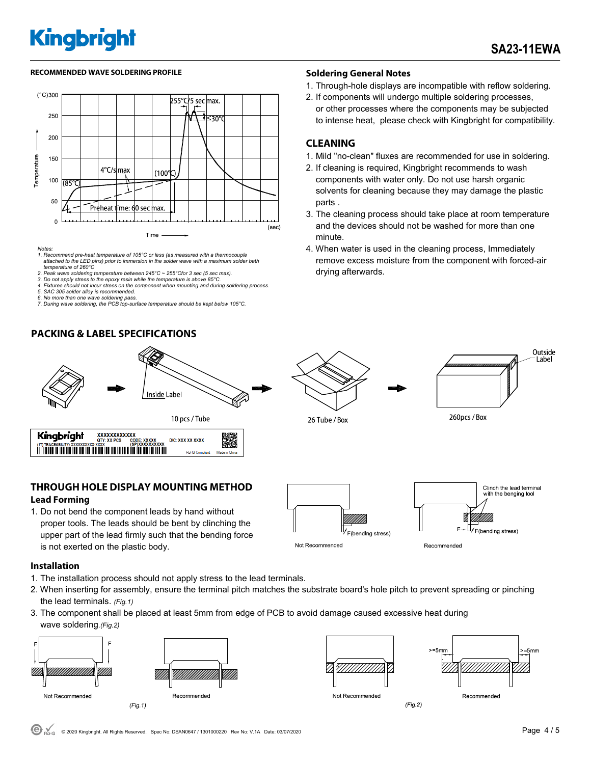#### RECOMMENDED WAVE SOLDERING PROFILE **A CONTACT A CONTACT SOLDERING PROFILE** SOLDERING PROFILE



- *Notes: 1. Recommend pre-heat temperature of 105°C or less (as measured with a thermocouple attached to the LED pins) prior to immersion in the solder wave with a maximum solder bath temperature of 260°C*
- *2. Peak wave soldering temperature between 245°C ~ 255°Cfor 3 sec (5 sec max).*
- *3. Do not apply stress to the epoxy resin while the temperature is above 85°C. 4. Fixtures should not incur stress on the component when mounting and during soldering process.*
- 
- *5. SAC 305 solder alloy is recommended. 6. No more than one wave soldering pass.*
- *7. During wave soldering, the PCB top-surface temperature should be kept below 105°C.*

#### **PACKING & LABEL SPECIFICATIONS**



#### **THROUGH HOLE DISPLAY MOUNTING METHOD Lead Forming**

1. Do not bend the component leads by hand without proper tools. The leads should be bent by clinching the upper part of the lead firmly such that the bending force is not exerted on the plastic body.



**Installation** 

- 1. The installation process should not apply stress to the lead terminals.
- 2. When inserting for assembly, ensure the terminal pitch matches the substrate board's hole pitch to prevent spreading or pinching the lead terminals. *(Fig.1)*
- 3. The component shall be placed at least 5mm from edge of PCB to avoid damage caused excessive heat during wave soldering.*(Fig.2)*







Not Recommended

 $(Fig.2)$ 

Recommended

- 1. Through-hole displays are incompatible with reflow soldering.
- 2. If components will undergo multiple soldering processes, or other processes where the components may be subjected to intense heat, please check with Kingbright for compatibility.

#### **CLEANING**

- 1. Mild "no-clean" fluxes are recommended for use in soldering.
- 2. If cleaning is required, Kingbright recommends to wash components with water only. Do not use harsh organic solvents for cleaning because they may damage the plastic parts .
- 3. The cleaning process should take place at room temperature and the devices should not be washed for more than one minute.
- 4. When water is used in the cleaning process, Immediately remove excess moisture from the component with forced-air drying afterwards.







ith the benging tool

26 Tube / Box

Recommended